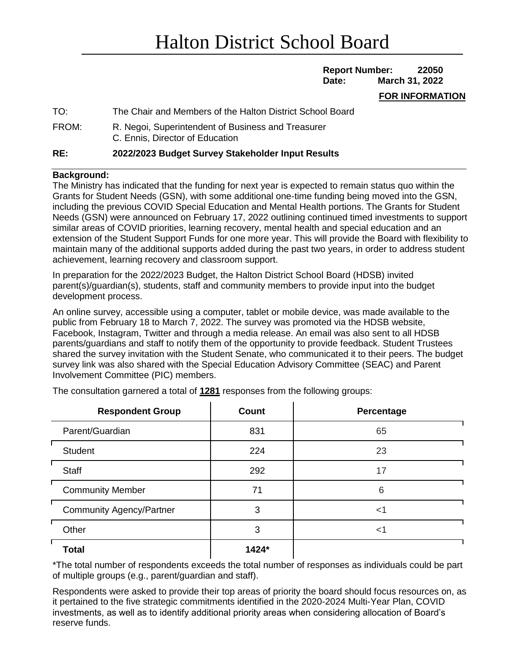# **Report Number: 22050 Date: March 31, 2022**

#### **FOR INFORMATION**

| TO:   | The Chair and Members of the Halton District School Board                             |
|-------|---------------------------------------------------------------------------------------|
| FROM: | R. Negoi, Superintendent of Business and Treasurer<br>C. Ennis, Director of Education |

### **RE: 2022/2023 Budget Survey Stakeholder Input Results**

### **Background:**

The Ministry has indicated that the funding for next year is expected to remain status quo within the Grants for Student Needs (GSN), with some additional one-time funding being moved into the GSN, including the previous COVID Special Education and Mental Health portions. The Grants for Student Needs (GSN) were announced on February 17, 2022 outlining continued timed investments to support similar areas of COVID priorities, learning recovery, mental health and special education and an extension of the Student Support Funds for one more year. This will provide the Board with flexibility to maintain many of the additional supports added during the past two years, in order to address student achievement, learning recovery and classroom support.

In preparation for the 2022/2023 Budget, the Halton District School Board (HDSB) invited parent(s)/guardian(s), students, staff and community members to provide input into the budget development process.

An online survey, accessible using a computer, tablet or mobile device, was made available to the public from February 18 to March 7, 2022. The survey was promoted via the HDSB website, Facebook, Instagram, Twitter and through a media release. An email was also sent to all HDSB parents/guardians and staff to notify them of the opportunity to provide feedback. Student Trustees shared the survey invitation with the Student Senate, who communicated it to their peers. The budget survey link was also shared with the Special Education Advisory Committee (SEAC) and Parent Involvement Committee (PIC) members.

| <b>Respondent Group</b>         | <b>Count</b> | Percentage |
|---------------------------------|--------------|------------|
| Parent/Guardian                 | 831          | 65         |
| <b>Student</b>                  | 224          | 23         |
| Staff                           | 292          | 17         |
| <b>Community Member</b>         | 71           | 6          |
| <b>Community Agency/Partner</b> | 3            | <1         |
| Other                           | 3            | <1         |
| <b>Total</b>                    | 1424*        |            |

The consultation garnered a total of **1281** responses from the following groups:

\*The total number of respondents exceeds the total number of responses as individuals could be part of multiple groups (e.g., parent/guardian and staff).

Respondents were asked to provide their top areas of priority the board should focus resources on, as it pertained to the five strategic commitments identified in the 2020-2024 Multi-Year Plan, COVID investments, as well as to identify additional priority areas when considering allocation of Board's reserve funds.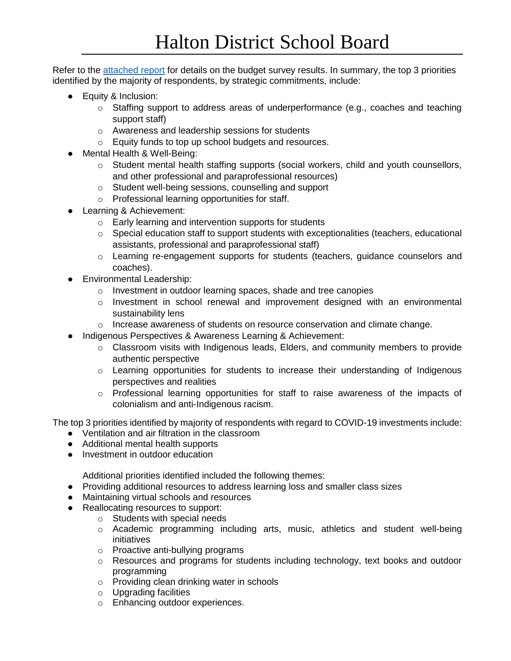Refer to the [attached report](https://drive.google.com/file/d/1K1WTkL8qmNwEQDXTiym4m8vzIpTnaSkB/view?usp=sharing) for details on the budget survey results. In summary, the top 3 priorities identified by the majority of respondents, by strategic commitments, include:

- Equity & Inclusion:
	- $\circ$  Staffing support to address areas of underperformance (e.g., coaches and teaching support staff)
	- o Awareness and leadership sessions for students
	- o Equity funds to top up school budgets and resources.
- Mental Health & Well-Being:
	- o Student mental health staffing supports (social workers, child and youth counsellors, and other professional and paraprofessional resources)
	- o Student well-being sessions, counselling and support
	- o Professional learning opportunities for staff.
- Learning & Achievement:
	- o Early learning and intervention supports for students
	- $\circ$  Special education staff to support students with exceptionalities (teachers, educational assistants, professional and paraprofessional staff)
	- o Learning re-engagement supports for students (teachers, guidance counselors and coaches).
- Environmental Leadership:
	- o Investment in outdoor learning spaces, shade and tree canopies
	- $\circ$  Investment in school renewal and improvement designed with an environmental sustainability lens
	- $\circ$  Increase awareness of students on resource conservation and climate change.
- Indigenous Perspectives & Awareness Learning & Achievement:
	- $\circ$  Classroom visits with Indigenous leads, Elders, and community members to provide authentic perspective
	- o Learning opportunities for students to increase their understanding of Indigenous perspectives and realities
	- $\circ$  Professional learning opportunities for staff to raise awareness of the impacts of colonialism and anti-Indigenous racism.

The top 3 priorities identified by majority of respondents with regard to COVID-19 investments include:

- Ventilation and air filtration in the classroom
- Additional mental health supports
- Investment in outdoor education

Additional priorities identified included the following themes:

- Providing additional resources to address learning loss and smaller class sizes
- Maintaining virtual schools and resources
- Reallocating resources to support:
	- o Students with special needs
	- o Academic programming including arts, music, athletics and student well-being initiatives
	- o Proactive anti-bullying programs
	- o Resources and programs for students including technology, text books and outdoor programming
	- o Providing clean drinking water in schools
	- o Upgrading facilities
	- o Enhancing outdoor experiences.